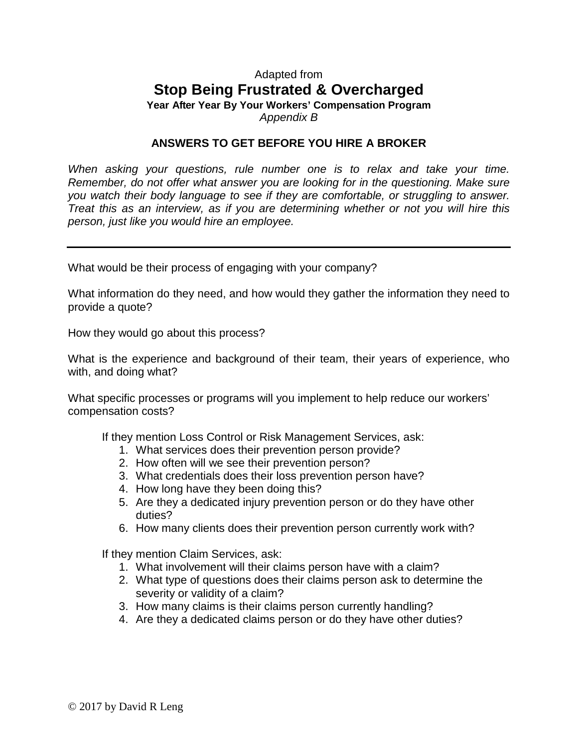## Adapted from **Stop Being Frustrated & Overcharged**

**Year After Year By Your Workers' Compensation Program**  *Appendix B* 

## **ANSWERS TO GET BEFORE YOU HIRE A BROKER**

*When asking your questions, rule number one is to relax and take your time. Remember, do not offer what answer you are looking for in the questioning. Make sure you watch their body language to see if they are comfortable, or struggling to answer. Treat this as an interview, as if you are determining whether or not you will hire this person, just like you would hire an employee.* 

What would be their process of engaging with your company?

What information do they need, and how would they gather the information they need to provide a quote?

How they would go about this process?

What is the experience and background of their team, their years of experience, who with, and doing what?

What specific processes or programs will you implement to help reduce our workers' compensation costs?

If they mention Loss Control or Risk Management Services, ask:

- 1. What services does their prevention person provide?
- 2. How often will we see their prevention person?
- 3. What credentials does their loss prevention person have?
- 4. How long have they been doing this?
- 5. Are they a dedicated injury prevention person or do they have other duties?
- 6. How many clients does their prevention person currently work with?

If they mention Claim Services, ask:

- 1. What involvement will their claims person have with a claim?
- 2. What type of questions does their claims person ask to determine the severity or validity of a claim?
- 3. How many claims is their claims person currently handling?
- 4. Are they a dedicated claims person or do they have other duties?